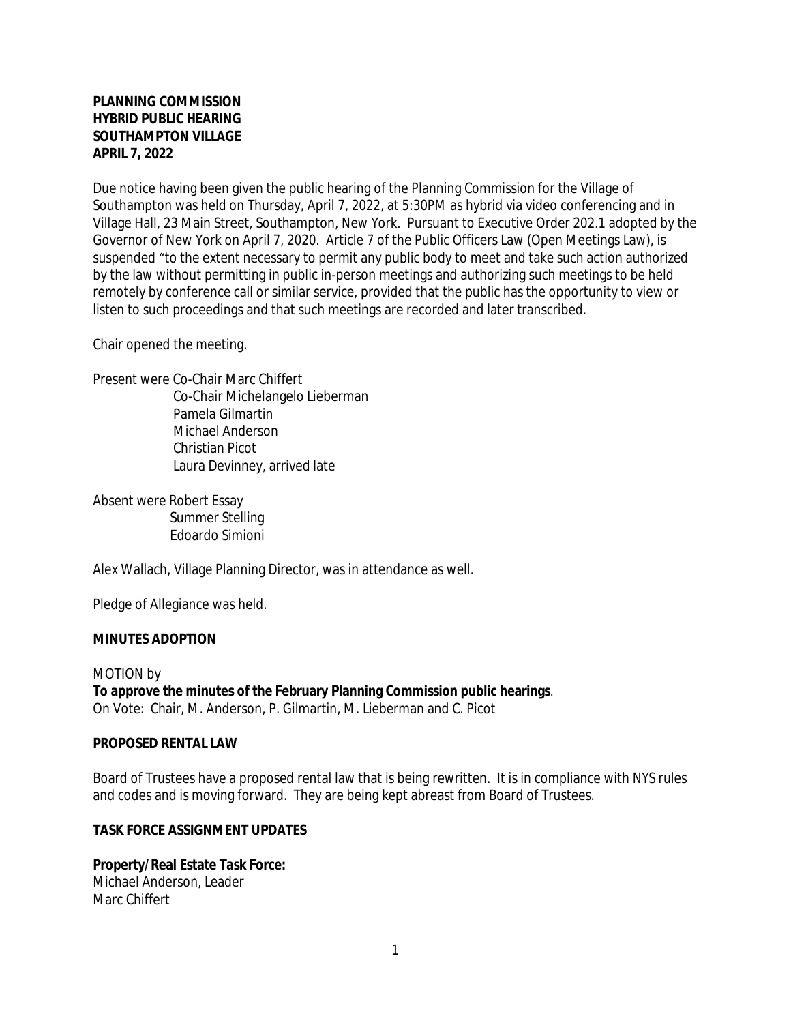### **PLANNING COMMISSION HYBRID PUBLIC HEARING SOUTHAMPTON VILLAGE APRIL 7, 2022**

Due notice having been given the public hearing of the Planning Commission for the Village of Southampton was held on Thursday, April 7, 2022, at 5:30PM as hybrid via video conferencing and in Village Hall, 23 Main Street, Southampton, New York. Pursuant to Executive Order 202.1 adopted by the Governor of New York on April 7, 2020. Article 7 of the Public Officers Law (Open Meetings Law), is suspended "to the extent necessary to permit any public body to meet and take such action authorized by the law without permitting in public in-person meetings and authorizing such meetings to be held remotely by conference call or similar service, provided that the public has the opportunity to view or listen to such proceedings and that such meetings are recorded and later transcribed.

Chair opened the meeting.

Present were Co-Chair Marc Chiffert Co-Chair Michelangelo Lieberman Pamela Gilmartin Michael Anderson Christian Picot Laura Devinney, arrived late

Absent were Robert Essay Summer Stelling Edoardo Simioni

Alex Wallach, Village Planning Director, was in attendance as well.

Pledge of Allegiance was held.

#### **MINUTES ADOPTION**

MOTION by **To approve the minutes of the February Planning Commission public hearings**. On Vote: Chair, M. Anderson, P. Gilmartin, M. Lieberman and C. Picot

#### **PROPOSED RENTAL LAW**

Board of Trustees have a proposed rental law that is being rewritten. It is in compliance with NYS rules and codes and is moving forward. They are being kept abreast from Board of Trustees.

#### **TASK FORCE ASSIGNMENT UPDATES**

# **Property/Real Estate Task Force:**

Michael Anderson, Leader Marc Chiffert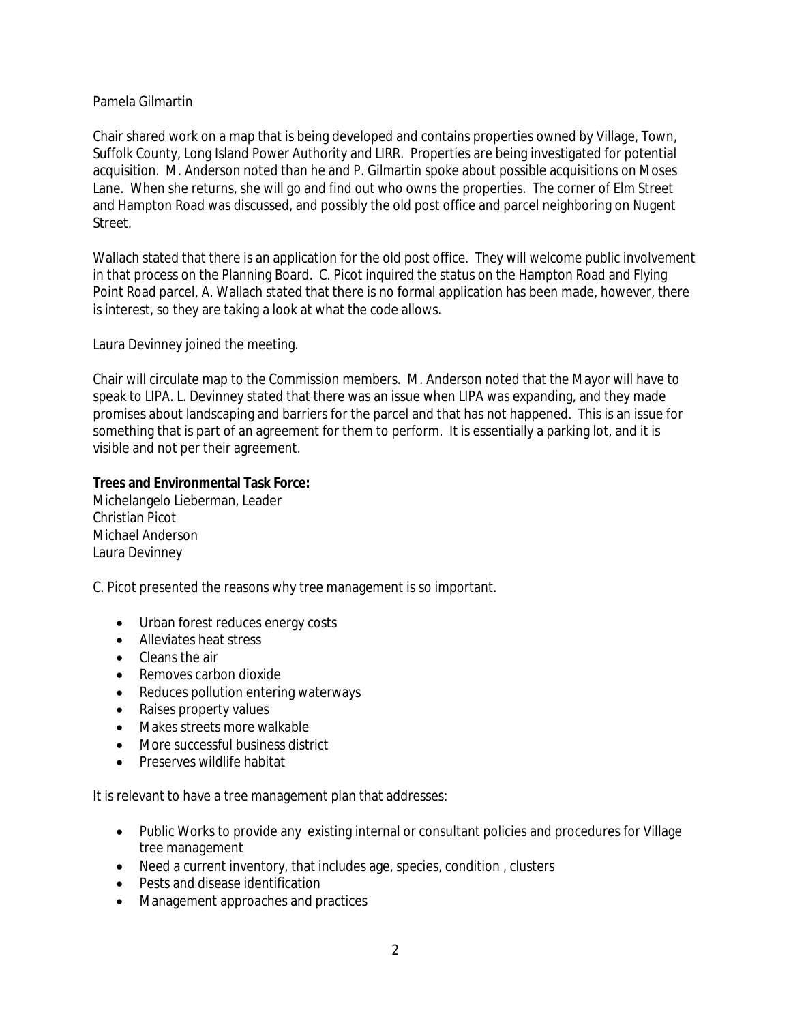#### Pamela Gilmartin

Chair shared work on a map that is being developed and contains properties owned by Village, Town, Suffolk County, Long Island Power Authority and LIRR. Properties are being investigated for potential acquisition. M. Anderson noted than he and P. Gilmartin spoke about possible acquisitions on Moses Lane. When she returns, she will go and find out who owns the properties. The corner of Elm Street and Hampton Road was discussed, and possibly the old post office and parcel neighboring on Nugent Street.

Wallach stated that there is an application for the old post office. They will welcome public involvement in that process on the Planning Board. C. Picot inquired the status on the Hampton Road and Flying Point Road parcel, A. Wallach stated that there is no formal application has been made, however, there is interest, so they are taking a look at what the code allows.

Laura Devinney joined the meeting.

Chair will circulate map to the Commission members. M. Anderson noted that the Mayor will have to speak to LIPA. L. Devinney stated that there was an issue when LIPA was expanding, and they made promises about landscaping and barriers for the parcel and that has not happened. This is an issue for something that is part of an agreement for them to perform. It is essentially a parking lot, and it is visible and not per their agreement.

## **Trees and Environmental Task Force:**

Michelangelo Lieberman, Leader Christian Picot Michael Anderson Laura Devinney

C. Picot presented the reasons why tree management is so important.

- Urban forest reduces energy costs
- Alleviates heat stress
- Cleans the air
- Removes carbon dioxide
- Reduces pollution entering waterways
- Raises property values
- Makes streets more walkable
- More successful business district
- Preserves wildlife habitat

It is relevant to have a tree management plan that addresses:

- Public Works to provide any existing internal or consultant policies and procedures for Village tree management
- Need a current inventory, that includes age, species, condition , clusters
- Pests and disease identification
- Management approaches and practices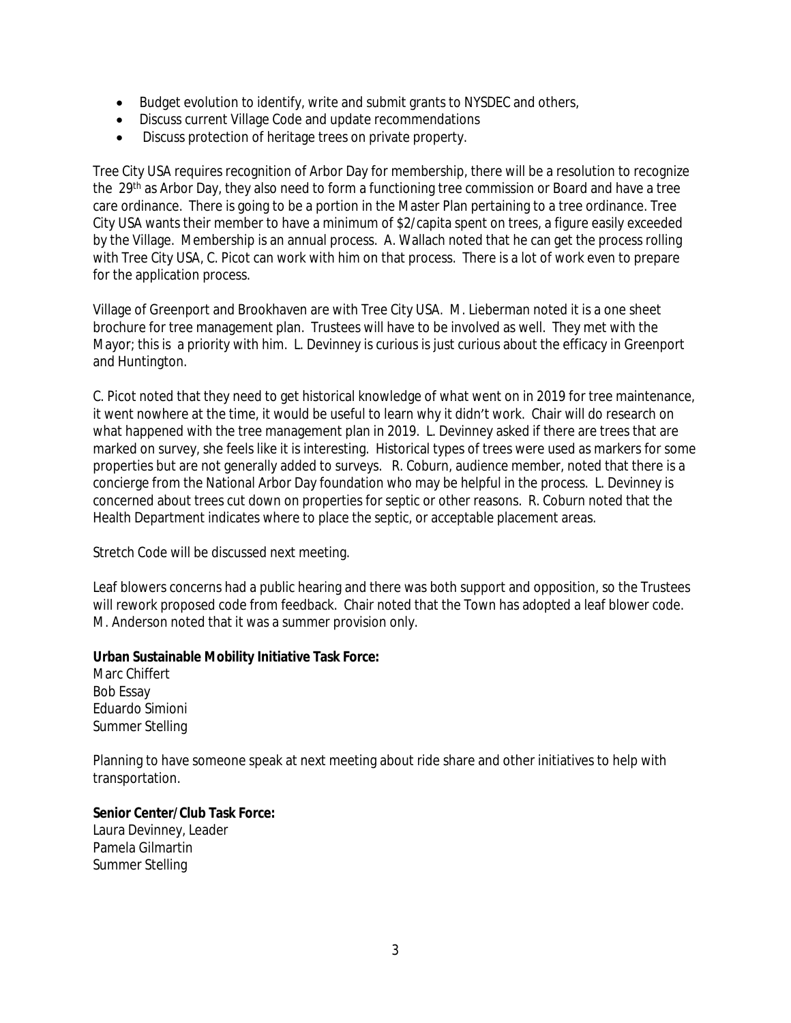- Budget evolution to identify, write and submit grants to NYSDEC and others,
- Discuss current Village Code and update recommendations
- Discuss protection of heritage trees on private property.

Tree City USA requires recognition of Arbor Day for membership, there will be a resolution to recognize the 29<sup>th</sup> as Arbor Day, they also need to form a functioning tree commission or Board and have a tree care ordinance. There is going to be a portion in the Master Plan pertaining to a tree ordinance. Tree City USA wants their member to have a minimum of \$2/capita spent on trees, a figure easily exceeded by the Village. Membership is an annual process. A. Wallach noted that he can get the process rolling with Tree City USA, C. Picot can work with him on that process. There is a lot of work even to prepare for the application process.

Village of Greenport and Brookhaven are with Tree City USA. M. Lieberman noted it is a one sheet brochure for tree management plan. Trustees will have to be involved as well. They met with the Mayor; this is a priority with him. L. Devinney is curious is just curious about the efficacy in Greenport and Huntington.

C. Picot noted that they need to get historical knowledge of what went on in 2019 for tree maintenance, it went nowhere at the time, it would be useful to learn why it didn't work. Chair will do research on what happened with the tree management plan in 2019. L. Devinney asked if there are trees that are marked on survey, she feels like it is interesting. Historical types of trees were used as markers for some properties but are not generally added to surveys. R. Coburn, audience member, noted that there is a concierge from the National Arbor Day foundation who may be helpful in the process. L. Devinney is concerned about trees cut down on properties for septic or other reasons. R. Coburn noted that the Health Department indicates where to place the septic, or acceptable placement areas.

Stretch Code will be discussed next meeting.

Leaf blowers concerns had a public hearing and there was both support and opposition, so the Trustees will rework proposed code from feedback. Chair noted that the Town has adopted a leaf blower code. M. Anderson noted that it was a summer provision only.

#### **Urban Sustainable Mobility Initiative Task Force:**

Marc Chiffert Bob Essay Eduardo Simioni Summer Stelling

Planning to have someone speak at next meeting about ride share and other initiatives to help with transportation.

# **Senior Center/Club Task Force:**

Laura Devinney, Leader Pamela Gilmartin Summer Stelling